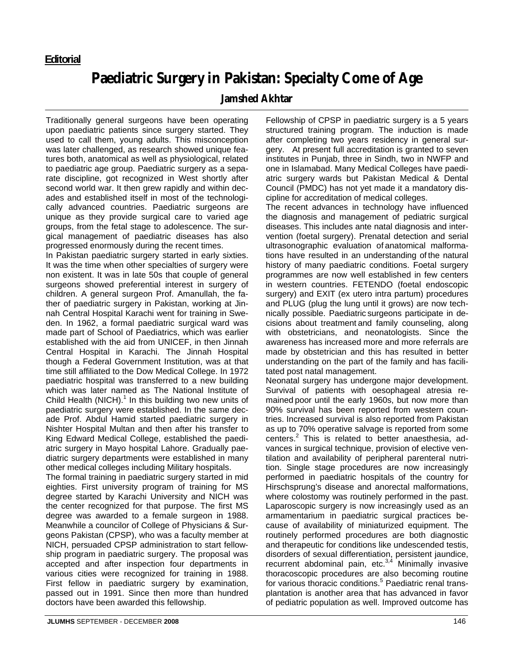## **Paediatric Surgery in Pakistan: Specialty Come of Age**

## **Jamshed Akhtar**

Traditionally general surgeons have been operating upon paediatric patients since surgery started. They used to call them, young adults. This misconception was later challenged, as research showed unique features both, anatomical as well as physiological, related to paediatric age group. Paediatric surgery as a separate discipline, got recognized in West shortly after second world war. It then grew rapidly and within decades and established itself in most of the technologically advanced countries. Paediatric surgeons are unique as they provide surgical care to varied age groups, from the fetal stage to adolescence. The surgical management of paediatric diseases has also progressed enormously during the recent times.

In Pakistan paediatric surgery started in early sixties. It was the time when other specialties of surgery were non existent. It was in late 50s that couple of general surgeons showed preferential interest in surgery of children. A general surgeon Prof. Amanullah, the father of paediatric surgery in Pakistan, working at Jinnah Central Hospital Karachi went for training in Sweden. In 1962, a formal paediatric surgical ward was made part of School of Paediatrics, which was earlier established with the aid from UNICEF, in then Jinnah Central Hospital in Karachi. The Jinnah Hospital though a Federal Government Institution, was at that time still affiliated to the Dow Medical College. In 1972 paediatric hospital was transferred to a new building which was later named as The National Institute of Child Health (NICH). $1$  In this building two new units of paediatric surgery were established. In the same decade Prof. Abdul Hamid started paediatric surgery in Nishter Hospital Multan and then after his transfer to King Edward Medical College, established the paediatric surgery in Mayo hospital Lahore. Gradually paediatric surgery departments were established in many other medical colleges including Military hospitals.

The formal training in paediatric surgery started in mid eighties. First university program of training for MS degree started by Karachi University and NICH was the center recognized for that purpose. The first MS degree was awarded to a female surgeon in 1988. Meanwhile a councilor of College of Physicians & Surgeons Pakistan (CPSP), who was a faculty member at NICH, persuaded CPSP administration to start fellowship program in paediatric surgery. The proposal was accepted and after inspection four departments in various cities were recognized for training in 1988. First fellow in paediatric surgery by examination, passed out in 1991. Since then more than hundred doctors have been awarded this fellowship.

Fellowship of CPSP in paediatric surgery is a 5 years structured training program. The induction is made after completing two years residency in general surgery. At present full accreditation is granted to seven institutes in Punjab, three in Sindh, two in NWFP and one in Islamabad. Many Medical Colleges have paediatric surgery wards but Pakistan Medical & Dental Council (PMDC) has not yet made it a mandatory discipline for accreditation of medical colleges.

The recent advances in technology have influenced the diagnosis and management of pediatric surgical diseases. This includes ante natal diagnosis and intervention (foetal surgery). Prenatal detection and serial ultrasonographic evaluation of anatomical malformations have resulted in an understanding of the natural history of many paediatric conditions. Foetal surgery programmes are now well established in few centers in western countries. FETENDO (foetal endoscopic surgery) and EXIT (ex utero intra partum) procedures and PLUG (plug the lung until it grows) are now technically possible. Paediatric surgeons participate in decisions about treatment and family counseling, along with obstetricians, and neonatologists. Since the awareness has increased more and more referrals are made by obstetrician and this has resulted in better understanding on the part of the family and has facilitated post natal management.

Neonatal surgery has undergone major development. Survival of patients with oesophageal atresia remained poor until the early 1960s, but now more than 90% survival has been reported from western countries. Increased survival is also reported from Pakistan as up to 70% operative salvage is reported from some centers.<sup>2</sup> This is related to better anaesthesia, advances in surgical technique, provision of elective ventilation and availability of peripheral parenteral nutrition. Single stage procedures are now increasingly performed in paediatric hospitals of the country for Hirschsprung's disease and anorectal malformations, where colostomy was routinely performed in the past. Laparoscopic surgery is now increasingly used as an armamentarium in paediatric surgical practices because of availability of miniaturized equipment. The routinely performed procedures are both diagnostic and therapeutic for conditions like undescended testis, disorders of sexual differentiation, persistent jaundice, recurrent abdominal pain, etc.<sup>3,4</sup> Minimally invasive thoracoscopic procedures are also becoming routine for various thoracic conditions.<sup>5</sup> Paediatric renal transplantation is another area that has advanced in favor of pediatric population as well. Improved outcome has